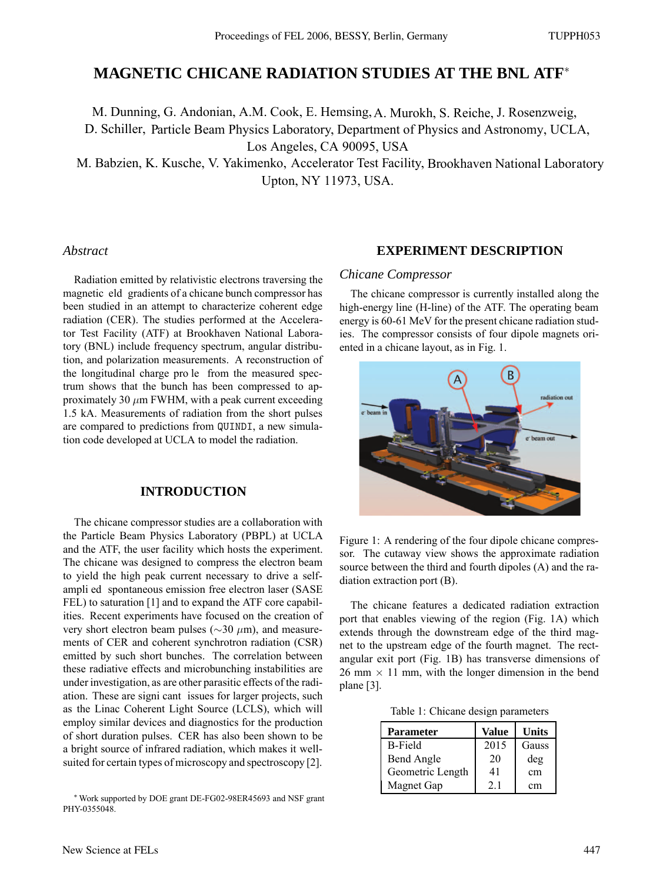# **MAGNETIC CHICANE RADIATION STUDIES AT THE BNL ATF**<sup>∗</sup>

M. Dunning, G. Andonian, A.M. Cook, E. Hemsing,A. Murokh, S. Reiche, J. Rosenzweig, D. Schiller, Particle Beam Physics Laboratory, Department of Physics and Astronomy, UCLA, Los Angeles, CA 90095, USA

M. Babzien, K. Kusche, V. Yakimenko, Accelerator Test Facility, Brookhaven National Laboratory Upton, NY 11973, USA.

## *Abstract*

Radiation emitted by relativistic electrons traversing the magnetic eld gradients of a chicane bunch compressor has been studied in an attempt to characterize coherent edge radiation (CER). The studies performed at the Accelerator Test Facility (ATF) at Brookhaven National Laboratory (BNL) include frequency spectrum, angular distribution, and polarization measurements. A reconstruction of the longitudinal charge pro le from the measured spectrum shows that the bunch has been compressed to approximately 30  $\mu$ m FWHM, with a peak current exceeding 1.5 kA. Measurements of radiation from the short pulses are compared to predictions from QUINDI, a new simulation code developed at UCLA to model the radiation.

## **INTRODUCTION**

The chicane compressor studies are a collaboration with the Particle Beam Physics Laboratory (PBPL) at UCLA and the ATF, the user facility which hosts the experiment. The chicane was designed to compress the electron beam to yield the high peak current necessary to drive a selfampli ed spontaneous emission free electron laser (SASE FEL) to saturation [1] and to expand the ATF core capabilities. Recent experiments have focused on the creation of very short electron beam pulses ( $\sim$ 30  $\mu$ m), and measurements of CER and coherent synchrotron radiation (CSR) emitted by such short bunches. The correlation between these radiative effects and microbunching instabilities are under investigation, as are other parasitic effects of the radiation. These are signi cant issues for larger projects, such as the Linac Coherent Light Source (LCLS), which will employ similar devices and diagnostics for the production of short duration pulses. CER has also been shown to be a bright source of infrared radiation, which makes it wellsuited for certain types of microscopy and spectroscopy [2].

## **EXPERIMENT DESCRIPTION**

#### *Chicane Compressor*

The chicane compressor is currently installed along the high-energy line (H-line) of the ATF. The operating beam energy is 60-61 MeV for the present chicane radiation studies. The compressor consists of four dipole magnets oriented in a chicane layout, as in Fig. 1.



Figure 1: A rendering of the four dipole chicane compressor. The cutaway view shows the approximate radiation source between the third and fourth dipoles (A) and the radiation extraction port (B).

The chicane features a dedicated radiation extraction port that enables viewing of the region (Fig. 1A) which extends through the downstream edge of the third magnet to the upstream edge of the fourth magnet. The rectangular exit port (Fig. 1B) has transverse dimensions of  $26$  mm  $\times$  11 mm, with the longer dimension in the bend plane [3].

Table 1: Chicane design parameters

| <b>Parameter</b>  | Value | <b>Units</b> |
|-------------------|-------|--------------|
| <b>B-Field</b>    | 2015  | Gauss        |
| <b>Bend Angle</b> | 20    | deg          |
| Geometric Length  | 41    | cm           |
| Magnet Gap        | 2.1   | cm           |

<sup>∗</sup>Work supported by DOE grant DE-FG02-98ER45693 and NSF grant PHY-0355048.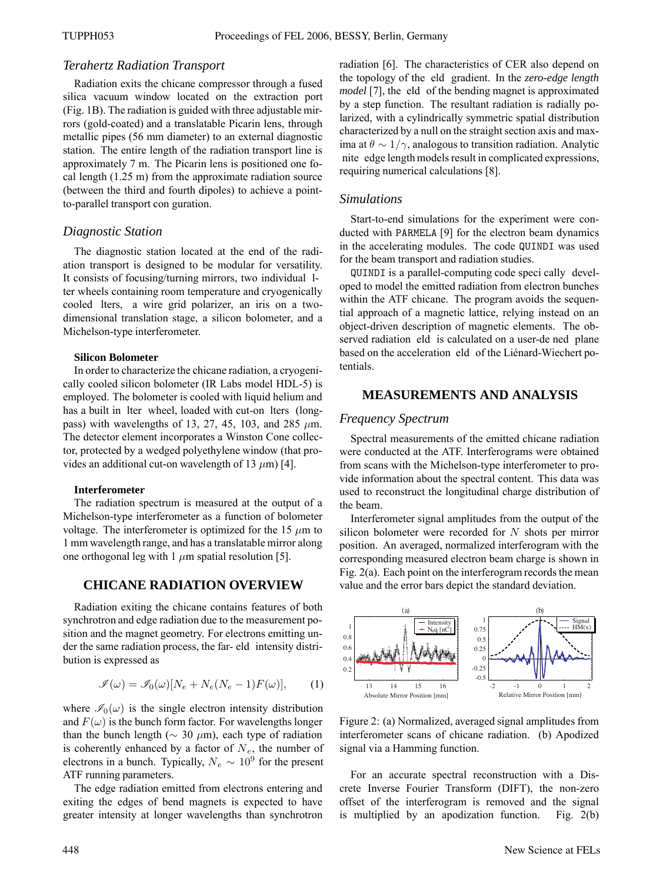## *Terahertz Radiation Transport*

Radiation exits the chicane compressor through a fused silica vacuum window located on the extraction port (Fig. 1B). The radiation is guided with three adjustable mirrors (gold-coated) and a translatable Picarin lens, through metallic pipes (56 mm diameter) to an external diagnostic station. The entire length of the radiation transport line is approximately 7 m. The Picarin lens is positioned one focal length (1.25 m) from the approximate radiation source (between the third and fourth dipoles) to achieve a pointto-parallel transport con guration.

## *Diagnostic Station*

The diagnostic station located at the end of the radiation transport is designed to be modular for versatility. It consists of focusing/turning mirrors, two individual lter wheels containing room temperature and cryogenically cooled lters, a wire grid polarizer, an iris on a twodimensional translation stage, a silicon bolometer, and a Michelson-type interferometer.

#### **Silicon Bolometer**

In order to characterize the chicane radiation, a cryogenically cooled silicon bolometer (IR Labs model HDL-5) is employed. The bolometer is cooled with liquid helium and has a built in lter wheel, loaded with cut-on lters (longpass) with wavelengths of 13, 27, 45, 103, and 285  $\mu$ m. The detector element incorporates a Winston Cone collector, protected by a wedged polyethylene window (that provides an additional cut-on wavelength of 13  $\mu$ m) [4].

#### **Interferometer**

The radiation spectrum is measured at the output of a Michelson-type interferometer as a function of bolometer voltage. The interferometer is optimized for the 15  $\mu$ m to 1 mm wavelength range, and has a translatable mirror along one orthogonal leg with 1  $\mu$ m spatial resolution [5].

## **CHICANE RADIATION OVERVIEW**

Radiation exiting the chicane contains features of both synchrotron and edge radiation due to the measurement position and the magnet geometry. For electrons emitting under the same radiation process, the far- eld intensity distribution is expressed as

$$
\mathcal{I}(\omega) = \mathcal{I}_0(\omega)[N_e + N_e(N_e - 1)F(\omega)], \qquad (1)
$$

where  $\mathscr{I}_0(\omega)$  is the single electron intensity distribution and  $F(\omega)$  is the bunch form factor. For wavelengths longer than the bunch length ( $\sim$  30  $\mu$ m), each type of radiation is coherently enhanced by a factor of  $N_e$ , the number of electrons in a bunch. Typically,  $N_e \sim 10^9$  for the present ATF running parameters.

The edge radiation emitted from electrons entering and exiting the edges of bend magnets is expected to have greater intensity at longer wavelengths than synchrotron

radiation [6]. The characteristics of CER also depend on the topology of the eld gradient. In the *zero-edge length model* [7], the eld of the bending magnet is approximated by a step function. The resultant radiation is radially polarized, with a cylindrically symmetric spatial distribution characterized by a null on the straight section axis and maxima at  $\theta \sim 1/\gamma$ , analogous to transition radiation. Analytic nite edge length models result in complicated expressions, requiring numerical calculations [8].

#### *Simulations*

Start-to-end simulations for the experiment were conducted with PARMELA [9] for the electron beam dynamics in the accelerating modules. The code QUINDI was used for the beam transport and radiation studies.

QUINDI is a parallel-computing code speci cally developed to model the emitted radiation from electron bunches within the ATF chicane. The program avoids the sequential approach of a magnetic lattice, relying instead on an object-driven description of magnetic elements. The observed radiation eld is calculated on a user-de ned plane based on the acceleration eld of the Liénard-Wiechert potentials.

## **MEASUREMENTS AND ANALYSIS**

## *Frequency Spectrum*

Spectral measurements of the emitted chicane radiation were conducted at the ATF. Interferograms were obtained from scans with the Michelson-type interferometer to provide information about the spectral content. This data was used to reconstruct the longitudinal charge distribution of the beam.

Interferometer signal amplitudes from the output of the silicon bolometer were recorded for  $N$  shots per mirror position. An averaged, normalized interferogram with the corresponding measured electron beam charge is shown in Fig. 2(a). Each point on the interferogram records the mean value and the error bars depict the standard deviation.



Figure 2: (a) Normalized, averaged signal amplitudes from interferometer scans of chicane radiation. (b) Apodized signal via a Hamming function.

For an accurate spectral reconstruction with a Discrete Inverse Fourier Transform (DIFT), the non-zero offset of the interferogram is removed and the signal is multiplied by an apodization function. Fig. 2(b)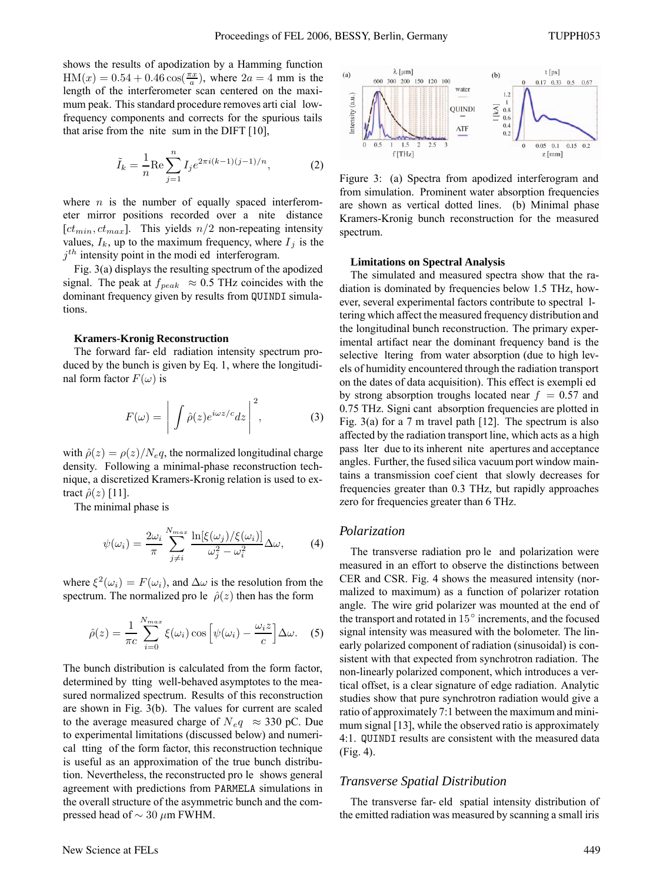shows the results of apodization by a Hamming function  $HM(x) = 0.54 + 0.46 \cos(\frac{\pi x}{a})$ , where  $2a = 4$  mm is the length of the interferometer scan centered on the maximum peak. This standard procedure removes arti cial lowfrequency components and corrects for the spurious tails that arise from the nite sum in the DIFT [10],

$$
\tilde{I}_k = \frac{1}{n} \text{Re} \sum_{j=1}^n I_j e^{2\pi i (k-1)(j-1)/n},\tag{2}
$$

where  $n$  is the number of equally spaced interferometer mirror positions recorded over a nite distance [ $ct_{min}$ ,  $ct_{max}$ ]. This yields  $n/2$  non-repeating intensity values,  $I_k$ , up to the maximum frequency, where  $I_j$  is the  $j<sup>th</sup>$  intensity point in the modi ed interferogram.

Fig. 3(a) displays the resulting spectrum of the apodized signal. The peak at  $f_{peak} \approx 0.5$  THz coincides with the dominant frequency given by results from QUINDI simulations.

#### **Kramers-Kronig Reconstruction**

The forward far- eld radiation intensity spectrum produced by the bunch is given by Eq. 1, where the longitudinal form factor  $F(\omega)$  is

$$
F(\omega) = \left| \int \hat{\rho}(z) e^{i\omega z/c} dz \right|^2, \tag{3}
$$

with  $\hat{\rho}(z) = \rho(z)/N_e q$ , the normalized longitudinal charge density. Following a minimal-phase reconstruction technique, a discretized Kramers-Kronig relation is used to extract  $\hat{\rho}(z)$  [11].

The minimal phase is

$$
\psi(\omega_i) = \frac{2\omega_i}{\pi} \sum_{j \neq i}^{N_{max}} \frac{\ln[\xi(\omega_j)/\xi(\omega_i)]}{\omega_j^2 - \omega_i^2} \Delta \omega,
$$
 (4)

where  $\xi^2(\omega_i) = F(\omega_i)$ , and  $\Delta \omega$  is the resolution from the spectrum. The normalized pro le  $\hat{\rho}(z)$  then has the form

$$
\hat{\rho}(z) = \frac{1}{\pi c} \sum_{i=0}^{N_{max}} \xi(\omega_i) \cos \left[\psi(\omega_i) - \frac{\omega_i z}{c}\right] \Delta \omega. \quad (5)
$$

The bunch distribution is calculated from the form factor, determined by tting well-behaved asymptotes to the measured normalized spectrum. Results of this reconstruction are shown in Fig. 3(b). The values for current are scaled to the average measured charge of  $N_e q \approx 330$  pC. Due to experimental limitations (discussed below) and numerical tting of the form factor, this reconstruction technique is useful as an approximation of the true bunch distribution. Nevertheless, the reconstructed pro le shows general agreement with predictions from PARMELA simulations in the overall structure of the asymmetric bunch and the compressed head of  $\sim$  30  $\mu$ m FWHM.

Figure 3: (a) Spectra from apodized interferogram and from simulation. Prominent water absorption frequencies are shown as vertical dotted lines. (b) Minimal phase Kramers-Kronig bunch reconstruction for the measured spectrum.

#### **Limitations on Spectral Analysis**

The simulated and measured spectra show that the radiation is dominated by frequencies below 1.5 THz, however, several experimental factors contribute to spectral ltering which affect the measured frequency distribution and the longitudinal bunch reconstruction. The primary experimental artifact near the dominant frequency band is the selective ltering from water absorption (due to high levels of humidity encountered through the radiation transport on the dates of data acquisition). This effect is exempli ed by strong absorption troughs located near  $f = 0.57$  and 0.75 THz. Signi cant absorption frequencies are plotted in Fig. 3(a) for a 7 m travel path  $[12]$ . The spectrum is also affected by the radiation transport line, which acts as a high pass lter due to its inherent nite apertures and acceptance angles. Further, the fused silica vacuum port window maintains a transmission coef cient that slowly decreases for frequencies greater than 0.3 THz, but rapidly approaches zero for frequencies greater than 6 THz.

### *Polarization*

The transverse radiation pro le and polarization were measured in an effort to observe the distinctions between CER and CSR. Fig. 4 shows the measured intensity (normalized to maximum) as a function of polarizer rotation angle. The wire grid polarizer was mounted at the end of the transport and rotated in 15◦ increments, and the focused signal intensity was measured with the bolometer. The linearly polarized component of radiation (sinusoidal) is consistent with that expected from synchrotron radiation. The non-linearly polarized component, which introduces a vertical offset, is a clear signature of edge radiation. Analytic studies show that pure synchrotron radiation would give a ratio of approximately 7:1 between the maximum and minimum signal [13], while the observed ratio is approximately 4:1. QUINDI results are consistent with the measured data (Fig. 4).

#### *Transverse Spatial Distribution*

The transverse far- eld spatial intensity distribution of the emitted radiation was measured by scanning a small iris